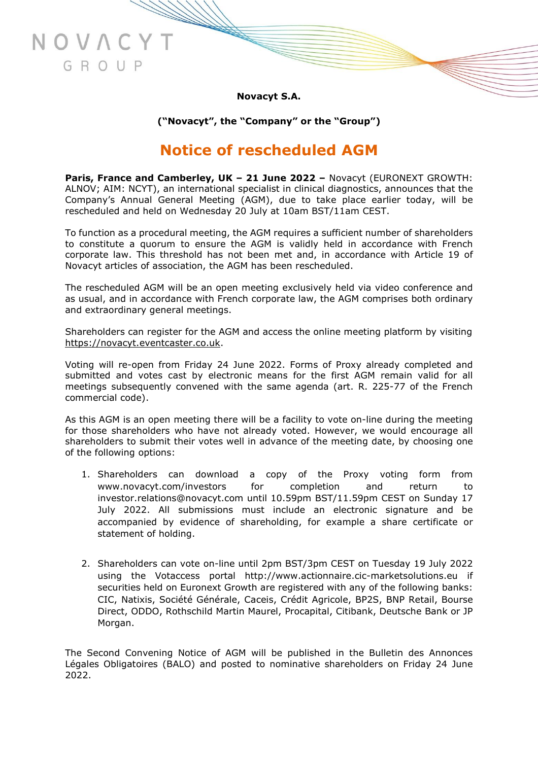**Novacyt S.A.**

NOVAC

GROUP

**("Novacyt", the "Company" or the "Group")**

# **Notice of rescheduled AGM**

**Paris, France and Camberley, UK – 21 June 2022 –** Novacyt (EURONEXT GROWTH: ALNOV; AIM: NCYT), an international specialist in clinical diagnostics, announces that the Company's Annual General Meeting (AGM), due to take place earlier today, will be rescheduled and held on Wednesday 20 July at 10am BST/11am CEST.

To function as a procedural meeting, the AGM requires a sufficient number of shareholders to constitute a quorum to ensure the AGM is validly held in accordance with French corporate law. This threshold has not been met and, in accordance with Article 19 of Novacyt articles of association, the AGM has been rescheduled.

The rescheduled AGM will be an open meeting exclusively held via video conference and as usual, and in accordance with French corporate law, the AGM comprises both ordinary and extraordinary general meetings.

Shareholders can register for the AGM and access the online meeting platform by visiting [https://novacyt.eventcaster.co.uk.](https://novacyt.eventcaster.co.uk/)

Voting will re-open from Friday 24 June 2022. Forms of Proxy already completed and submitted and votes cast by electronic means for the first AGM remain valid for all meetings subsequently convened with the same agenda (art. R. 225-77 of the French commercial code).

As this AGM is an open meeting there will be a facility to vote on-line during the meeting for those shareholders who have not already voted. However, we would encourage all shareholders to submit their votes well in advance of the meeting date, by choosing one of the following options:

- 1. Shareholders can download a copy of the Proxy voting form from [www.novacyt.com/investors](http://www.novacyt.com/investors) for completion and return to investor.relations@novacyt.com until 10.59pm BST/11.59pm CEST on Sunday 17 July 2022. All submissions must include an electronic signature and be accompanied by evidence of shareholding, for example a share certificate or statement of holding.
- 2. Shareholders can vote on-line until 2pm BST/3pm CEST on Tuesday 19 July 2022 using the Votaccess portal [http://www.actionnaire.cic-marketsolutions.eu](http://www.actionnaire.cic-marketsolutions.eu/) if securities held on Euronext Growth are registered with any of the following banks: CIC, Natixis, Société Générale, Caceis, Crédit Agricole, BP2S, BNP Retail, Bourse Direct, ODDO, Rothschild Martin Maurel, Procapital, Citibank, Deutsche Bank or JP Morgan.

The Second Convening Notice of AGM will be published in the Bulletin des Annonces Légales Obligatoires (BALO) and posted to nominative shareholders on Friday 24 June 2022.